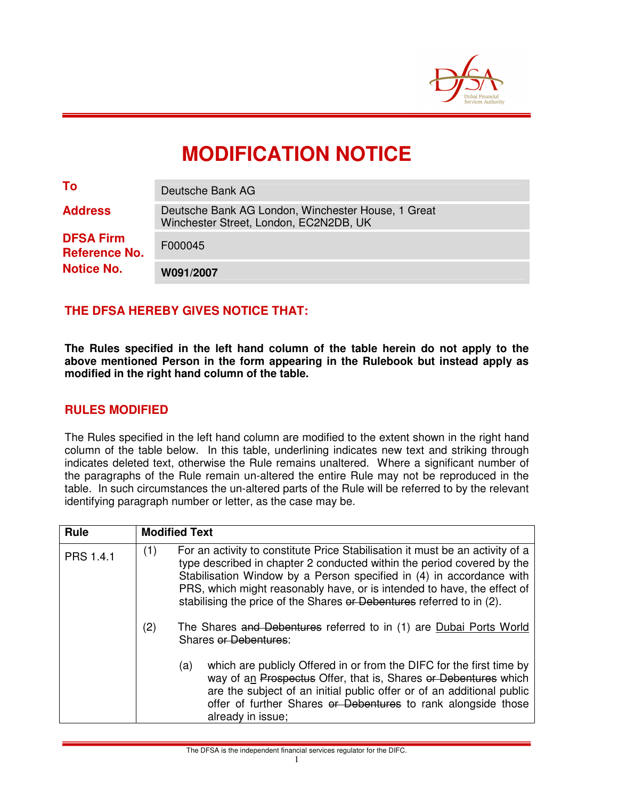

# **MODIFICATION NOTICE**

| To                                       | Deutsche Bank AG                                                                             |
|------------------------------------------|----------------------------------------------------------------------------------------------|
| <b>Address</b>                           | Deutsche Bank AG London, Winchester House, 1 Great<br>Winchester Street, London, EC2N2DB, UK |
| <b>DFSA Firm</b><br><b>Reference No.</b> | F000045                                                                                      |
| <b>Notice No.</b>                        | W091/2007                                                                                    |

## **THE DFSA HEREBY GIVES NOTICE THAT:**

**The Rules specified in the left hand column of the table herein do not apply to the above mentioned Person in the form appearing in the Rulebook but instead apply as modified in the right hand column of the table.** 

#### **RULES MODIFIED**

The Rules specified in the left hand column are modified to the extent shown in the right hand column of the table below. In this table, underlining indicates new text and striking through indicates deleted text, otherwise the Rule remains unaltered. Where a significant number of the paragraphs of the Rule remain un-altered the entire Rule may not be reproduced in the table. In such circumstances the un-altered parts of the Rule will be referred to by the relevant identifying paragraph number or letter, as the case may be.

| Rule      |     | <b>Modified Text</b>                                                                                                                                                                                                                                                                                                                                                                |  |  |
|-----------|-----|-------------------------------------------------------------------------------------------------------------------------------------------------------------------------------------------------------------------------------------------------------------------------------------------------------------------------------------------------------------------------------------|--|--|
| PRS 1.4.1 | (1) | For an activity to constitute Price Stabilisation it must be an activity of a<br>type described in chapter 2 conducted within the period covered by the<br>Stabilisation Window by a Person specified in (4) in accordance with<br>PRS, which might reasonably have, or is intended to have, the effect of<br>stabilising the price of the Shares or Debentures referred to in (2). |  |  |
|           | (2) | The Shares and Debentures referred to in (1) are Dubai Ports World<br><b>Shares or Debentures:</b>                                                                                                                                                                                                                                                                                  |  |  |
|           |     | which are publicly Offered in or from the DIFC for the first time by<br>(a)<br>way of an Prospectus Offer, that is, Shares or Debentures which<br>are the subject of an initial public offer or of an additional public<br>offer of further Shares or Debentures to rank alongside those<br>already in issue;                                                                       |  |  |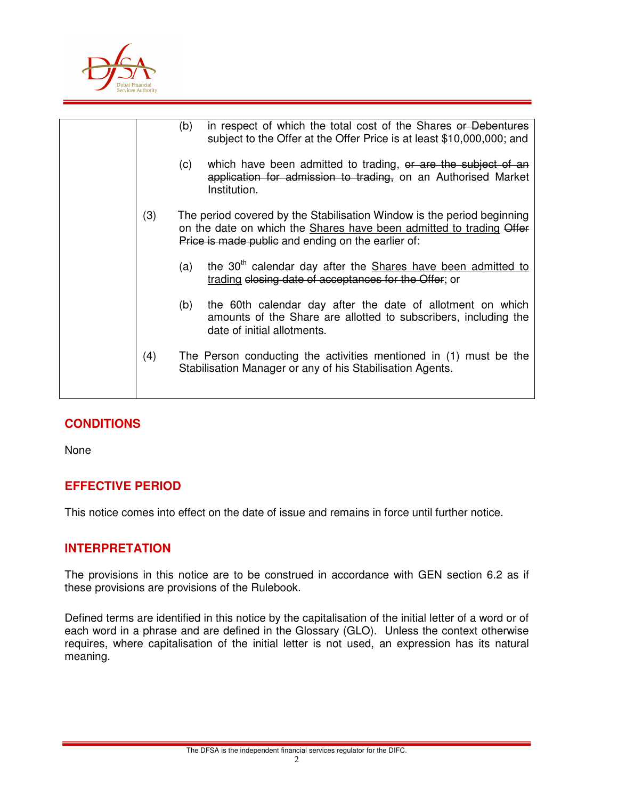

|     | (b) | in respect of which the total cost of the Shares or Debentures<br>subject to the Offer at the Offer Price is at least \$10,000,000; and                                                             |
|-----|-----|-----------------------------------------------------------------------------------------------------------------------------------------------------------------------------------------------------|
|     | (c) | which have been admitted to trading, or are the subject of an<br>application for admission to trading, on an Authorised Market<br>Institution.                                                      |
| (3) |     | The period covered by the Stabilisation Window is the period beginning<br>on the date on which the Shares have been admitted to trading Offer<br>Price is made public and ending on the earlier of: |
|     | (a) | the 30 <sup>th</sup> calendar day after the Shares have been admitted to<br>trading elosing date of acceptances for the Offer; or                                                                   |
|     | (b) | the 60th calendar day after the date of allotment on which<br>amounts of the Share are allotted to subscribers, including the<br>date of initial allotments.                                        |
| (4) |     | The Person conducting the activities mentioned in (1) must be the<br>Stabilisation Manager or any of his Stabilisation Agents.                                                                      |

## **CONDITIONS**

None

## **EFFECTIVE PERIOD**

This notice comes into effect on the date of issue and remains in force until further notice.

#### **INTERPRETATION**

The provisions in this notice are to be construed in accordance with GEN section 6.2 as if these provisions are provisions of the Rulebook.

Defined terms are identified in this notice by the capitalisation of the initial letter of a word or of each word in a phrase and are defined in the Glossary (GLO). Unless the context otherwise requires, where capitalisation of the initial letter is not used, an expression has its natural meaning.